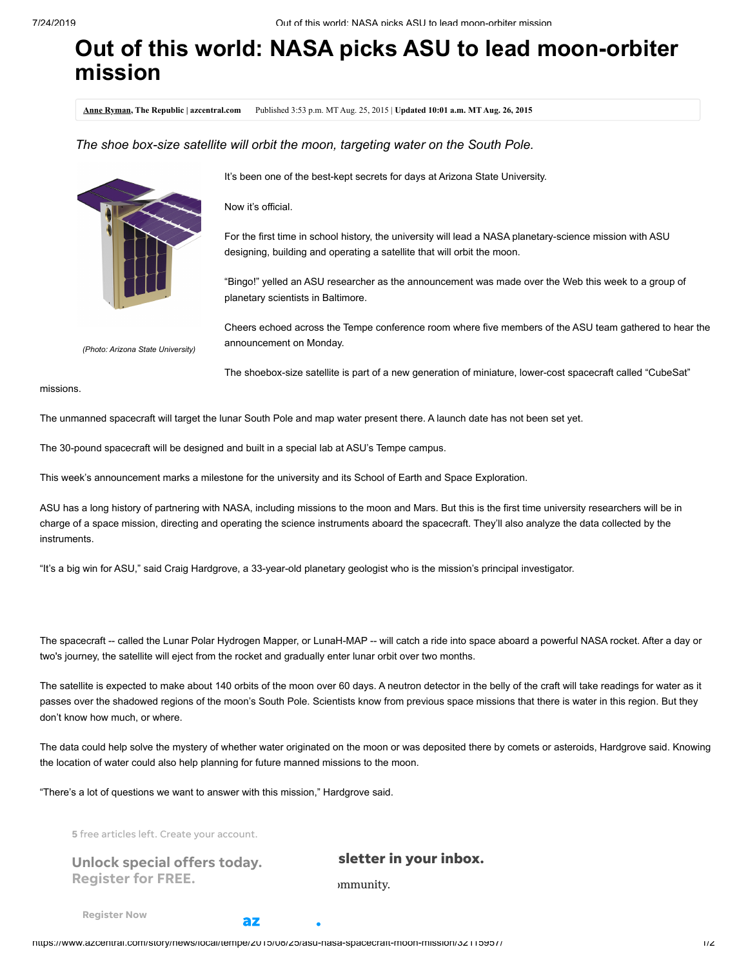## **Out of this world: NASA picks ASU to lead moon-orbiter mission**

**[Anne Ryman](http://www.azcentral.com/staff/17049/anne-ryman/), The Republic | azcentral.com** Published 3:53 p.m. MT Aug. 25, 2015 | **Updated 10:01 a.m. MT Aug. 26, 2015**

*The shoe box-size satellite will orbit the moon, targeting water on the South Pole.*



It's been one of the best-kept secrets for days at Arizona State University.

Now it's official.

For the first time in school history, the university will lead a NASA planetary-science mission with ASU designing, building and operating a satellite that will orbit the moon.

"Bingo!" yelled an ASU researcher as the announcement was made over the Web this week to a group of planetary scientists in Baltimore.

Cheers echoed across the Tempe conference room where five members of the ASU team gathered to hear the announcement on Monday.

*(Photo: Arizona State University)*

The shoebox-size satellite is part of a new generation of miniature, lower-cost spacecraft called "CubeSat"

missions.

The unmanned spacecraft will target the lunar South Pole and map water present there. A launch date has not been set yet.

The 30-pound spacecraft will be designed and built in a special lab at ASU's Tempe campus.

This week's announcement marks a milestone for the university and its School of Earth and Space Exploration.

ASU has a long history of partnering with NASA, including missions to the moon and Mars. But this is the first time university researchers will be in charge of a space mission, directing and operating the science instruments aboard the spacecraft. They'll also analyze the data collected by the instruments.

"It's a big win for ASU," said Craig Hardgrove, a 33-year-old planetary geologist who is the mission's principal investigator.

The spacecraft -- called the Lunar Polar Hydrogen Mapper, or LunaH-MAP -- will catch a ride into space aboard a powerful NASA rocket. After a day or two's journey, the satellite will eject from the rocket and gradually enter lunar orbit over two months.

The satellite is expected to make about 140 orbits of the moon over 60 days. A neutron detector in the belly of the craft will take readings for water as it passes over the shadowed regions of the moon's South Pole. Scientists know from previous space missions that there is water in this region. But they don't know how much, or where.

The data could help solve the mystery of whether water originated on the moon or was deposited there by comets or asteroids, Hardgrove said. Knowing the location of water could also help planning for future manned missions to the moon.

"There's a lot of questions we want to answer with this mission," Hardgrove said.

5 free articles left. Create your account.

| <b>Unlock special offers today.</b> |  |  |
|-------------------------------------|--|--|
| <b>Register for FREE.</b>           |  |  |

## sletter in your inbox.

m munity.

[Register](https://login.azcentral.com/PPHX-GUP/authenticate?requested-state=create-account&return-url=https%3A%2F%2Fwww.azcentral.com%2Fstory%2Fnews%2Flocal%2Ftempe%2F2015%2F08%2F25%2Fasu-nasa-spacecraft-moon-mission%2F32115957%2F&cancel-url=https%3A%2F%2Fwww.azcentral.com%2Fstory%2Fnews%2Flocal%2Ftempe%2F2015%2F08%2F25%2Fasu-nasa-spacecraft-moon-mission%2F32115957%2F&success-url=https%3A%2F%2Fwww.azcentral.com%2Fstory%2Fnews%2Flocal%2Ftempe%2F2015%2F08%2F25%2Fasu-nasa-spacecraft-moon-mission%2F32115957%2F®_delivery=atoms®_medium=ONSITE®_source=CPPERMETER®_campaign=pmgeneric) Now

az